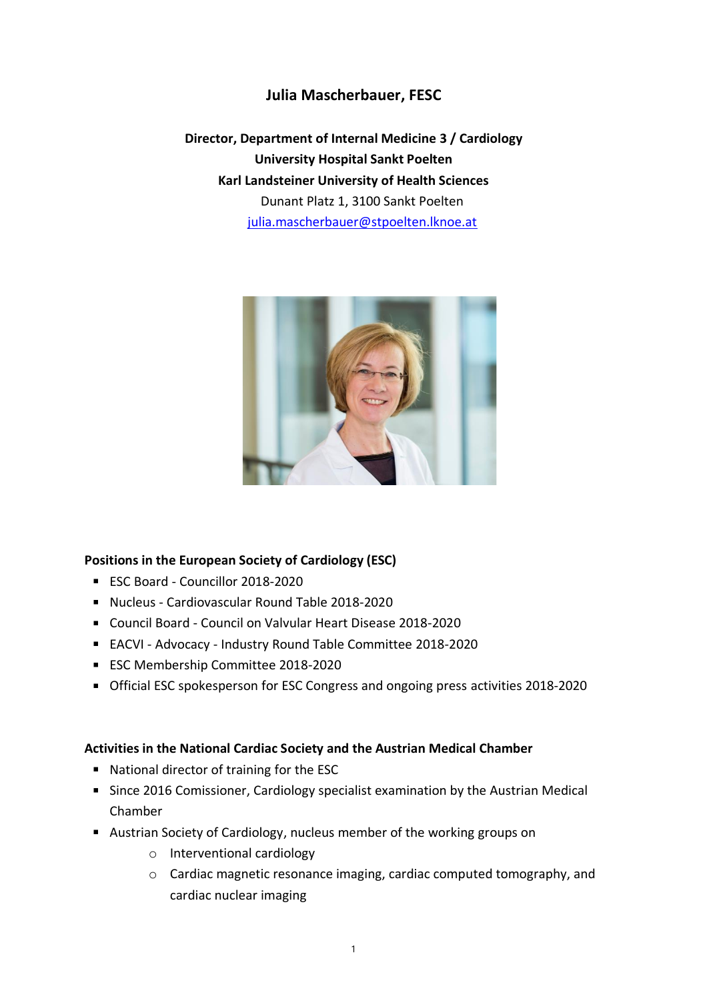## **Julia Mascherbauer, FESC**

**Director, Department of Internal Medicine 3 / Cardiology University Hospital Sankt Poelten Karl Landsteiner University of Health Sciences** Dunant Platz 1, 3100 Sankt Poelten [julia.mascherbauer@stpoelten.lknoe.at](mailto:julia.mascherbauer@stpoelten.lknoe.at)



## **Positions in the European Society of Cardiology (ESC)**

- ESC Board Councillor 2018-2020
- Nucleus Cardiovascular Round Table 2018-2020
- Council Board Council on Valvular Heart Disease 2018-2020
- EACVI Advocacy Industry Round Table Committee 2018-2020
- **ESC Membership Committee 2018-2020**
- Official ESC spokesperson for ESC Congress and ongoing press activities 2018-2020

## **Activities in the National Cardiac Society and the Austrian Medical Chamber**

- National director of training for the ESC
- **Since 2016 Comissioner, Cardiology specialist examination by the Austrian Medical** Chamber
- Austrian Society of Cardiology, nucleus member of the working groups on
	- o Interventional cardiology
	- o Cardiac magnetic resonance imaging, cardiac computed tomography, and cardiac nuclear imaging